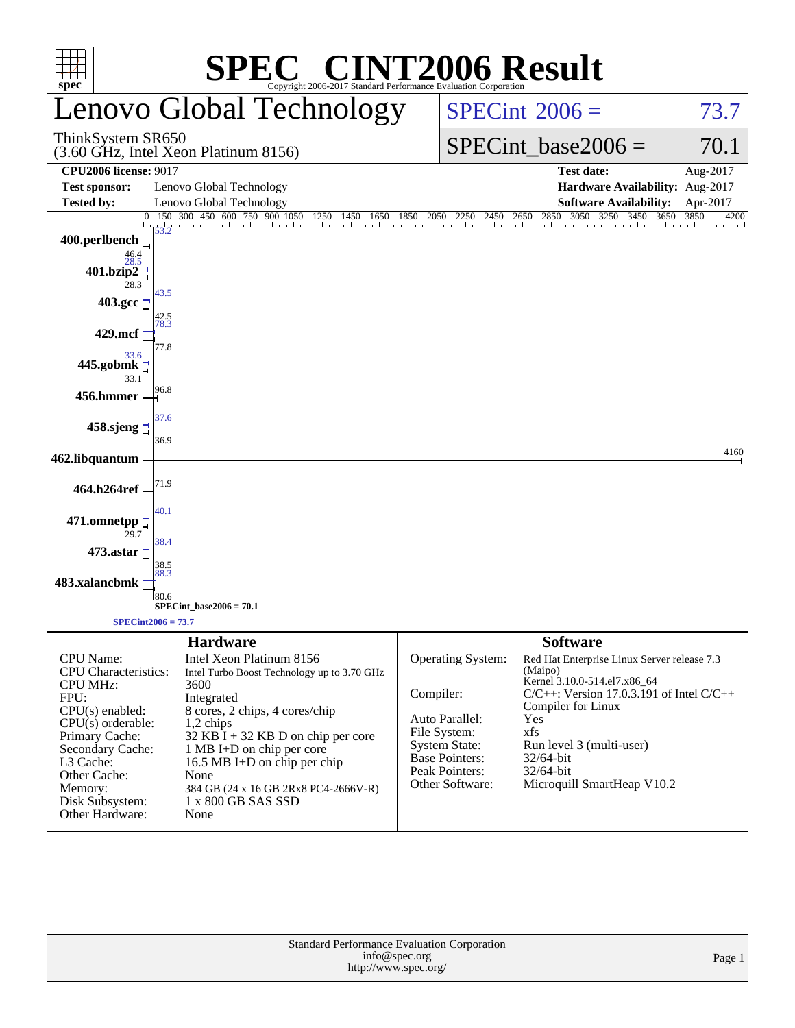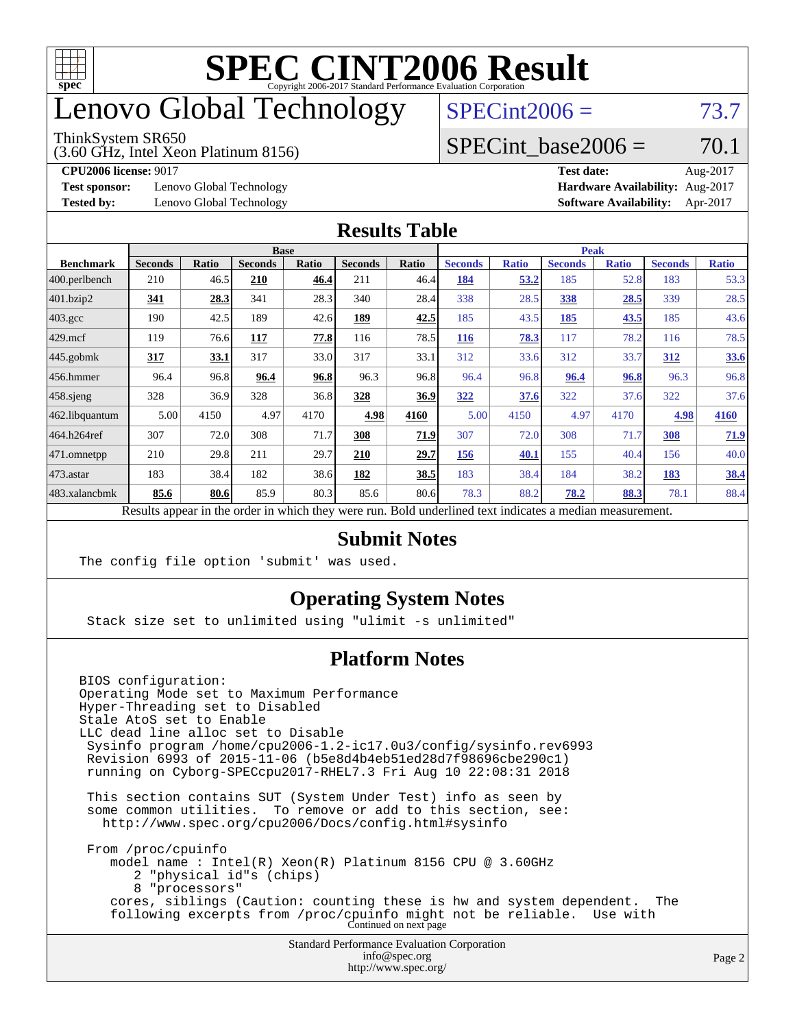

### enovo Global Technology

#### ThinkSystem SR650

(3.60 GHz, Intel Xeon Platinum 8156)

 $SPECint2006 = 73.7$  $SPECint2006 = 73.7$ 

### SPECint base2006 =  $70.1$

**[Test sponsor:](http://www.spec.org/auto/cpu2006/Docs/result-fields.html#Testsponsor)** Lenovo Global Technology **[Hardware Availability:](http://www.spec.org/auto/cpu2006/Docs/result-fields.html#HardwareAvailability)** Aug-2017

**[CPU2006 license:](http://www.spec.org/auto/cpu2006/Docs/result-fields.html#CPU2006license)** 9017 **[Test date:](http://www.spec.org/auto/cpu2006/Docs/result-fields.html#Testdate)** Aug-2017 **[Tested by:](http://www.spec.org/auto/cpu2006/Docs/result-fields.html#Testedby)** Lenovo Global Technology **[Software Availability:](http://www.spec.org/auto/cpu2006/Docs/result-fields.html#SoftwareAvailability)** Apr-2017

#### **[Results Table](http://www.spec.org/auto/cpu2006/Docs/result-fields.html#ResultsTable)**

|                    | <b>Base</b>    |       |                |              |                | <b>Peak</b>               |                       |              |                |              |                |              |
|--------------------|----------------|-------|----------------|--------------|----------------|---------------------------|-----------------------|--------------|----------------|--------------|----------------|--------------|
| <b>Benchmark</b>   | <b>Seconds</b> | Ratio | <b>Seconds</b> | <b>Ratio</b> | <b>Seconds</b> | Ratio                     | <b>Seconds</b>        | <b>Ratio</b> | <b>Seconds</b> | <b>Ratio</b> | <b>Seconds</b> | <b>Ratio</b> |
| 400.perlbench      | 210            | 46.5  | 210            | 46.4         | 211            | 46.4                      | 184                   | 53.2         | 185            | 52.8         | 183            | 53.3         |
| 401.bzip2          | <u>341</u>     | 28.3  | 341            | 28.3         | 340            | 28.4                      | 338                   | 28.5         | 338            | 28.5         | 339            | 28.5         |
| $403.\mathrm{gcc}$ | 190            | 42.5  | 189            | 42.6         | <u>189</u>     | 42.5                      | 185                   | 43.5         | <u>185</u>     | 43.5         | 185            | 43.6         |
| $429$ mcf          | 119            | 76.6  | 117            | 77.8         | 116            | 78.5                      | <b>116</b>            | 78.3         | 117            | 78.2         | 116            | 78.5         |
| $445$ .gobmk       | 317            | 33.1  | 317            | 33.0         | 317            | 33.1                      | 312                   | 33.6         | 312            | 33.7         | 312            | <b>33.6</b>  |
| $456.$ hmmer       | 96.4           | 96.8  | 96.4           | 96.8         | 96.3           | 96.8                      | 96.4                  | 96.8         | 96.4           | 96.8         | 96.3           | 96.8         |
| $458$ .sjeng       | 328            | 36.9  | 328            | 36.8         | 328            | 36.9                      | 322                   | 37.6         | 322            | 37.6         | 322            | 37.6         |
| 462.libquantum     | 5.00           | 4150  | 4.97           | 4170         | 4.98           | 4160                      | 5.00                  | 4150         | 4.97           | 4170         | 4.98           | 4160         |
| 464.h264ref        | 307            | 72.0  | 308            | 71.7         | 308            | 71.9                      | 307                   | 72.0         | 308            | 71.7         | 308            | 71.9         |
| 471.omnetpp        | 210            | 29.8  | 211            | 29.7         | 210            | 29.7                      | 156                   | 40.1         | 155            | 40.4         | 156            | 40.0         |
| $473.$ astar       | 183            | 38.4  | 182            | 38.6         | 182            | 38.5                      | 183                   | 38.4         | 184            | 38.2         | <u>183</u>     | <u>38.4</u>  |
| 483.xalancbmk      | 85.6           | 80.6  | 85.9           | 80.3         | 85.6           | 80.6                      | 78.3                  | 88.2         | 78.2           | 88.3         | 78.1           | 88.4         |
| $\mathbf{r}$       | $\mathbf{1}$ . |       | $\mathbf{1}$   | 1.1.1        |                | $\mathbf{r}$ $\mathbf{r}$ | 1.1<br>$\blacksquare$ | .            |                |              |                |              |

Results appear in the [order in which they were run.](http://www.spec.org/auto/cpu2006/Docs/result-fields.html#RunOrder) Bold underlined text [indicates a median measurement.](http://www.spec.org/auto/cpu2006/Docs/result-fields.html#Median)

#### **[Submit Notes](http://www.spec.org/auto/cpu2006/Docs/result-fields.html#SubmitNotes)**

The config file option 'submit' was used.

### **[Operating System Notes](http://www.spec.org/auto/cpu2006/Docs/result-fields.html#OperatingSystemNotes)**

Stack size set to unlimited using "ulimit -s unlimited"

### **[Platform Notes](http://www.spec.org/auto/cpu2006/Docs/result-fields.html#PlatformNotes)**

Standard Performance Evaluation Corporation [info@spec.org](mailto:info@spec.org) BIOS configuration: Operating Mode set to Maximum Performance Hyper-Threading set to Disabled Stale AtoS set to Enable LLC dead line alloc set to Disable Sysinfo program /home/cpu2006-1.2-ic17.0u3/config/sysinfo.rev6993 Revision 6993 of 2015-11-06 (b5e8d4b4eb51ed28d7f98696cbe290c1) running on Cyborg-SPECcpu2017-RHEL7.3 Fri Aug 10 22:08:31 2018 This section contains SUT (System Under Test) info as seen by some common utilities. To remove or add to this section, see: <http://www.spec.org/cpu2006/Docs/config.html#sysinfo> From /proc/cpuinfo model name : Intel(R) Xeon(R) Platinum 8156 CPU @ 3.60GHz 2 "physical id"s (chips) 8 "processors" cores, siblings (Caution: counting these is hw and system dependent. The following excerpts from /proc/cpuinfo might not be reliable. Use with Continued on next page

<http://www.spec.org/>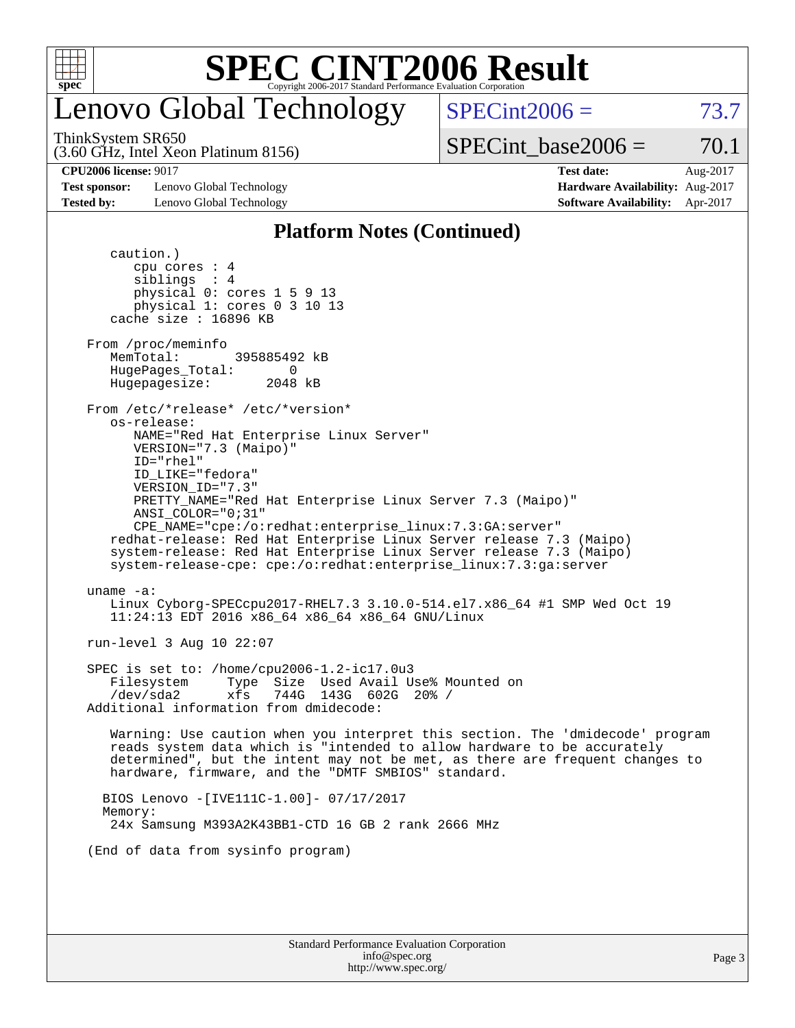

## enovo Global Technology

(3.60 GHz, Intel Xeon Platinum 8156) ThinkSystem SR650

 $SPECint2006 = 73.7$  $SPECint2006 = 73.7$ 

 $SPECTnt\_base2006 = 70.1$ 

**[Test sponsor:](http://www.spec.org/auto/cpu2006/Docs/result-fields.html#Testsponsor)** Lenovo Global Technology **[Hardware Availability:](http://www.spec.org/auto/cpu2006/Docs/result-fields.html#HardwareAvailability)** Aug-2017 **[Tested by:](http://www.spec.org/auto/cpu2006/Docs/result-fields.html#Testedby)** Lenovo Global Technology **[Software Availability:](http://www.spec.org/auto/cpu2006/Docs/result-fields.html#SoftwareAvailability)** Apr-2017

**[CPU2006 license:](http://www.spec.org/auto/cpu2006/Docs/result-fields.html#CPU2006license)** 9017 **[Test date:](http://www.spec.org/auto/cpu2006/Docs/result-fields.html#Testdate)** Aug-2017

### **[Platform Notes \(Continued\)](http://www.spec.org/auto/cpu2006/Docs/result-fields.html#PlatformNotes)**

| cpu cores : 4<br>sibling: 4                                                                                                                                                                                                                                                                     |
|-------------------------------------------------------------------------------------------------------------------------------------------------------------------------------------------------------------------------------------------------------------------------------------------------|
| physical 0: cores 1 5 9 13<br>physical 1: cores 0 3 10 13                                                                                                                                                                                                                                       |
| cache size : 16896 KB                                                                                                                                                                                                                                                                           |
| From /proc/meminfo<br>MemTotal:<br>395885492 kB<br>HugePages_Total: 0<br>Hugepagesize: 2048 kB                                                                                                                                                                                                  |
| From /etc/*release* /etc/*version*<br>os-release:                                                                                                                                                                                                                                               |
| NAME="Red Hat Enterprise Linux Server"<br>VERSION="7.3 (Maipo)"                                                                                                                                                                                                                                 |
| $ID="rhe1"$<br>ID LIKE="fedora"                                                                                                                                                                                                                                                                 |
| VERSION_ID="7.3"<br>PRETTY NAME="Red Hat Enterprise Linux Server 7.3 (Maipo)"                                                                                                                                                                                                                   |
| ANSI COLOR="0;31"<br>CPE_NAME="cpe:/o:redhat:enterprise_linux:7.3:GA:server"                                                                                                                                                                                                                    |
| redhat-release: Red Hat Enterprise Linux Server release 7.3 (Maipo)<br>system-release: Red Hat Enterprise Linux Server release 7.3 (Maipo)                                                                                                                                                      |
| system-release-cpe: cpe:/o:redhat:enterprise_linux:7.3:ga:server                                                                                                                                                                                                                                |
| uname $-a$ :<br>Linux Cyborg-SPECcpu2017-RHEL7.3 3.10.0-514.el7.x86_64 #1 SMP Wed Oct 19<br>11:24:13 EDT 2016 x86_64 x86_64 x86_64 GNU/Linux                                                                                                                                                    |
| run-level 3 Aug 10 22:07                                                                                                                                                                                                                                                                        |
| SPEC is set to: /home/cpu2006-1.2-ic17.0u3<br>Type Size Used Avail Use% Mounted on<br>Filesystem<br>xfs 744G 143G 602G 20% /<br>/dev/sda2<br>Additional information from dmidecode:                                                                                                             |
| Warning: Use caution when you interpret this section. The 'dmidecode' program<br>reads system data which is "intended to allow hardware to be accurately<br>determined", but the intent may not be met, as there are frequent changes to<br>hardware, firmware, and the "DMTF SMBIOS" standard. |
| BIOS Lenovo -[IVE111C-1.00]- 07/17/2017<br>Memory:                                                                                                                                                                                                                                              |
| 24x Samsung M393A2K43BB1-CTD 16 GB 2 rank 2666 MHz                                                                                                                                                                                                                                              |
| (End of data from sysinfo program)                                                                                                                                                                                                                                                              |
|                                                                                                                                                                                                                                                                                                 |
|                                                                                                                                                                                                                                                                                                 |
| <b>Standard Performance Evaluation Corporation</b>                                                                                                                                                                                                                                              |
|                                                                                                                                                                                                                                                                                                 |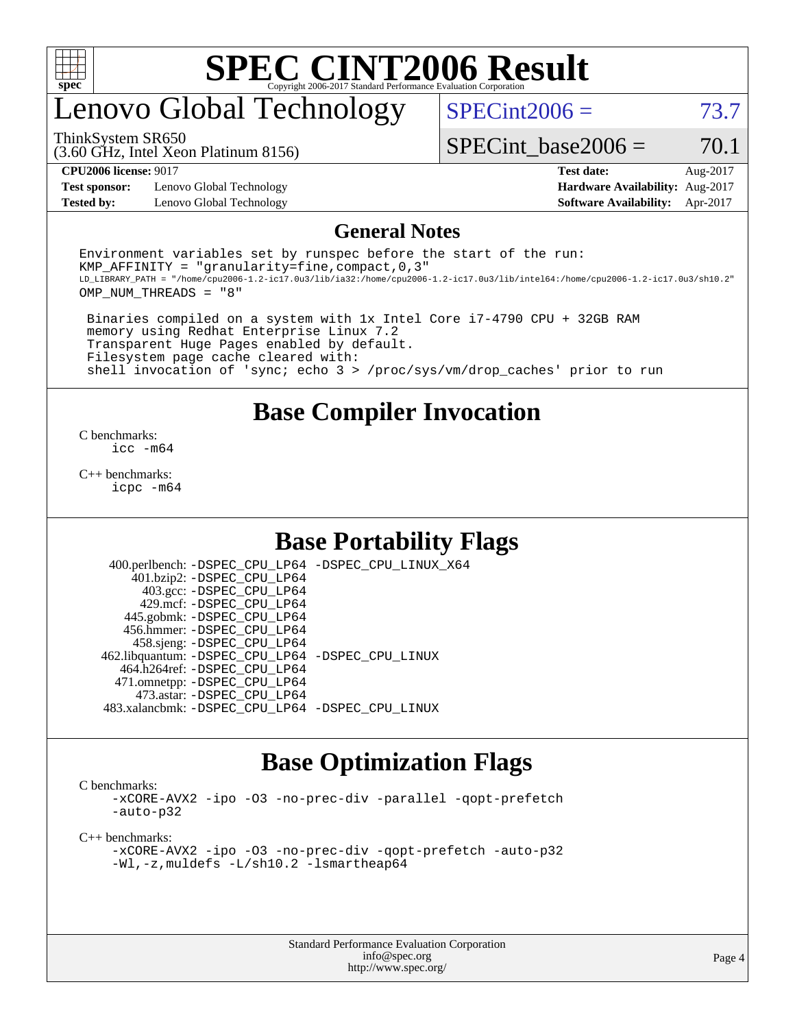

## enovo Global Technology

ThinkSystem SR650

 $SPECint2006 = 73.7$  $SPECint2006 = 73.7$ 

(3.60 GHz, Intel Xeon Platinum 8156)

SPECint base2006 =  $70.1$ 

**[Test sponsor:](http://www.spec.org/auto/cpu2006/Docs/result-fields.html#Testsponsor)** Lenovo Global Technology **[Hardware Availability:](http://www.spec.org/auto/cpu2006/Docs/result-fields.html#HardwareAvailability)** Aug-2017 **[Tested by:](http://www.spec.org/auto/cpu2006/Docs/result-fields.html#Testedby)** Lenovo Global Technology **[Software Availability:](http://www.spec.org/auto/cpu2006/Docs/result-fields.html#SoftwareAvailability)** Apr-2017

**[CPU2006 license:](http://www.spec.org/auto/cpu2006/Docs/result-fields.html#CPU2006license)** 9017 **[Test date:](http://www.spec.org/auto/cpu2006/Docs/result-fields.html#Testdate)** Aug-2017

#### **[General Notes](http://www.spec.org/auto/cpu2006/Docs/result-fields.html#GeneralNotes)**

Environment variables set by runspec before the start of the run: KMP AFFINITY = "granularity=fine, compact,  $0,3$ " LD\_LIBRARY\_PATH = "/home/cpu2006-1.2-ic17.0u3/lib/ia32:/home/cpu2006-1.2-ic17.0u3/lib/intel64:/home/cpu2006-1.2-ic17.0u3/sh10.2" OMP\_NUM\_THREADS = "8"

 Binaries compiled on a system with 1x Intel Core i7-4790 CPU + 32GB RAM memory using Redhat Enterprise Linux 7.2 Transparent Huge Pages enabled by default. Filesystem page cache cleared with: shell invocation of 'sync; echo 3 > /proc/sys/vm/drop\_caches' prior to run

### **[Base Compiler Invocation](http://www.spec.org/auto/cpu2006/Docs/result-fields.html#BaseCompilerInvocation)**

[C benchmarks](http://www.spec.org/auto/cpu2006/Docs/result-fields.html#Cbenchmarks): [icc -m64](http://www.spec.org/cpu2006/results/res2017q4/cpu2006-20170918-49759.flags.html#user_CCbase_intel_icc_64bit_bda6cc9af1fdbb0edc3795bac97ada53)

[C++ benchmarks:](http://www.spec.org/auto/cpu2006/Docs/result-fields.html#CXXbenchmarks) [icpc -m64](http://www.spec.org/cpu2006/results/res2017q4/cpu2006-20170918-49759.flags.html#user_CXXbase_intel_icpc_64bit_fc66a5337ce925472a5c54ad6a0de310)

### **[Base Portability Flags](http://www.spec.org/auto/cpu2006/Docs/result-fields.html#BasePortabilityFlags)**

 400.perlbench: [-DSPEC\\_CPU\\_LP64](http://www.spec.org/cpu2006/results/res2017q4/cpu2006-20170918-49759.flags.html#b400.perlbench_basePORTABILITY_DSPEC_CPU_LP64) [-DSPEC\\_CPU\\_LINUX\\_X64](http://www.spec.org/cpu2006/results/res2017q4/cpu2006-20170918-49759.flags.html#b400.perlbench_baseCPORTABILITY_DSPEC_CPU_LINUX_X64) 401.bzip2: [-DSPEC\\_CPU\\_LP64](http://www.spec.org/cpu2006/results/res2017q4/cpu2006-20170918-49759.flags.html#suite_basePORTABILITY401_bzip2_DSPEC_CPU_LP64) 403.gcc: [-DSPEC\\_CPU\\_LP64](http://www.spec.org/cpu2006/results/res2017q4/cpu2006-20170918-49759.flags.html#suite_basePORTABILITY403_gcc_DSPEC_CPU_LP64) 429.mcf: [-DSPEC\\_CPU\\_LP64](http://www.spec.org/cpu2006/results/res2017q4/cpu2006-20170918-49759.flags.html#suite_basePORTABILITY429_mcf_DSPEC_CPU_LP64) 445.gobmk: [-DSPEC\\_CPU\\_LP64](http://www.spec.org/cpu2006/results/res2017q4/cpu2006-20170918-49759.flags.html#suite_basePORTABILITY445_gobmk_DSPEC_CPU_LP64) 456.hmmer: [-DSPEC\\_CPU\\_LP64](http://www.spec.org/cpu2006/results/res2017q4/cpu2006-20170918-49759.flags.html#suite_basePORTABILITY456_hmmer_DSPEC_CPU_LP64) 458.sjeng: [-DSPEC\\_CPU\\_LP64](http://www.spec.org/cpu2006/results/res2017q4/cpu2006-20170918-49759.flags.html#suite_basePORTABILITY458_sjeng_DSPEC_CPU_LP64) 462.libquantum: [-DSPEC\\_CPU\\_LP64](http://www.spec.org/cpu2006/results/res2017q4/cpu2006-20170918-49759.flags.html#suite_basePORTABILITY462_libquantum_DSPEC_CPU_LP64) [-DSPEC\\_CPU\\_LINUX](http://www.spec.org/cpu2006/results/res2017q4/cpu2006-20170918-49759.flags.html#b462.libquantum_baseCPORTABILITY_DSPEC_CPU_LINUX) 464.h264ref: [-DSPEC\\_CPU\\_LP64](http://www.spec.org/cpu2006/results/res2017q4/cpu2006-20170918-49759.flags.html#suite_basePORTABILITY464_h264ref_DSPEC_CPU_LP64) 471.omnetpp: [-DSPEC\\_CPU\\_LP64](http://www.spec.org/cpu2006/results/res2017q4/cpu2006-20170918-49759.flags.html#suite_basePORTABILITY471_omnetpp_DSPEC_CPU_LP64) 473.astar: [-DSPEC\\_CPU\\_LP64](http://www.spec.org/cpu2006/results/res2017q4/cpu2006-20170918-49759.flags.html#suite_basePORTABILITY473_astar_DSPEC_CPU_LP64) 483.xalancbmk: [-DSPEC\\_CPU\\_LP64](http://www.spec.org/cpu2006/results/res2017q4/cpu2006-20170918-49759.flags.html#suite_basePORTABILITY483_xalancbmk_DSPEC_CPU_LP64) [-DSPEC\\_CPU\\_LINUX](http://www.spec.org/cpu2006/results/res2017q4/cpu2006-20170918-49759.flags.html#b483.xalancbmk_baseCXXPORTABILITY_DSPEC_CPU_LINUX)

### **[Base Optimization Flags](http://www.spec.org/auto/cpu2006/Docs/result-fields.html#BaseOptimizationFlags)**

[C benchmarks](http://www.spec.org/auto/cpu2006/Docs/result-fields.html#Cbenchmarks):

[-xCORE-AVX2](http://www.spec.org/cpu2006/results/res2017q4/cpu2006-20170918-49759.flags.html#user_CCbase_f-xCORE-AVX2) [-ipo](http://www.spec.org/cpu2006/results/res2017q4/cpu2006-20170918-49759.flags.html#user_CCbase_f-ipo) [-O3](http://www.spec.org/cpu2006/results/res2017q4/cpu2006-20170918-49759.flags.html#user_CCbase_f-O3) [-no-prec-div](http://www.spec.org/cpu2006/results/res2017q4/cpu2006-20170918-49759.flags.html#user_CCbase_f-no-prec-div) [-parallel](http://www.spec.org/cpu2006/results/res2017q4/cpu2006-20170918-49759.flags.html#user_CCbase_f-parallel) [-qopt-prefetch](http://www.spec.org/cpu2006/results/res2017q4/cpu2006-20170918-49759.flags.html#user_CCbase_f-qopt-prefetch) [-auto-p32](http://www.spec.org/cpu2006/results/res2017q4/cpu2006-20170918-49759.flags.html#user_CCbase_f-auto-p32)

[C++ benchmarks:](http://www.spec.org/auto/cpu2006/Docs/result-fields.html#CXXbenchmarks)

[-xCORE-AVX2](http://www.spec.org/cpu2006/results/res2017q4/cpu2006-20170918-49759.flags.html#user_CXXbase_f-xCORE-AVX2) [-ipo](http://www.spec.org/cpu2006/results/res2017q4/cpu2006-20170918-49759.flags.html#user_CXXbase_f-ipo) [-O3](http://www.spec.org/cpu2006/results/res2017q4/cpu2006-20170918-49759.flags.html#user_CXXbase_f-O3) [-no-prec-div](http://www.spec.org/cpu2006/results/res2017q4/cpu2006-20170918-49759.flags.html#user_CXXbase_f-no-prec-div) [-qopt-prefetch](http://www.spec.org/cpu2006/results/res2017q4/cpu2006-20170918-49759.flags.html#user_CXXbase_f-qopt-prefetch) [-auto-p32](http://www.spec.org/cpu2006/results/res2017q4/cpu2006-20170918-49759.flags.html#user_CXXbase_f-auto-p32) [-Wl,-z,muldefs](http://www.spec.org/cpu2006/results/res2017q4/cpu2006-20170918-49759.flags.html#user_CXXbase_link_force_multiple1_74079c344b956b9658436fd1b6dd3a8a) [-L/sh10.2 -lsmartheap64](http://www.spec.org/cpu2006/results/res2017q4/cpu2006-20170918-49759.flags.html#user_CXXbase_SmartHeap64_63911d860fc08c15fa1d5bf319b9d8d5)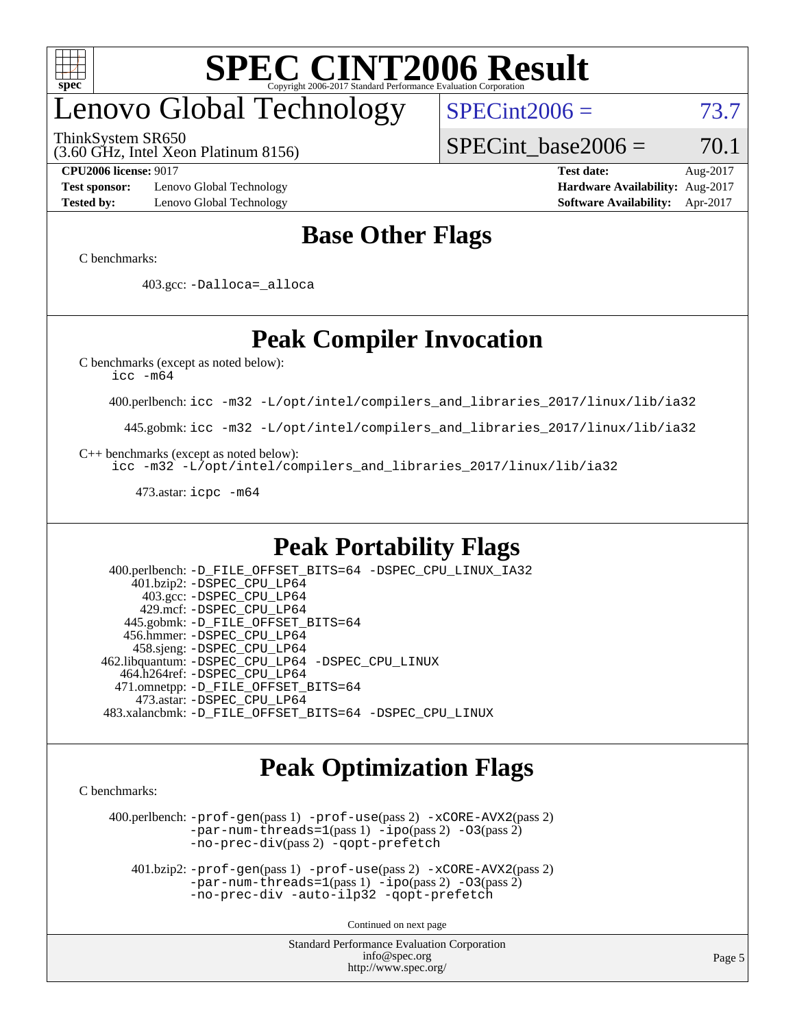

## enovo Global Technology

ThinkSystem SR650

 $SPECint2006 = 73.7$  $SPECint2006 = 73.7$ 

(3.60 GHz, Intel Xeon Platinum 8156)

SPECint base2006 =  $70.1$ 

**[Test sponsor:](http://www.spec.org/auto/cpu2006/Docs/result-fields.html#Testsponsor)** Lenovo Global Technology **[Hardware Availability:](http://www.spec.org/auto/cpu2006/Docs/result-fields.html#HardwareAvailability)** Aug-2017 **[Tested by:](http://www.spec.org/auto/cpu2006/Docs/result-fields.html#Testedby)** Lenovo Global Technology **[Software Availability:](http://www.spec.org/auto/cpu2006/Docs/result-fields.html#SoftwareAvailability)** Apr-2017

**[CPU2006 license:](http://www.spec.org/auto/cpu2006/Docs/result-fields.html#CPU2006license)** 9017 **[Test date:](http://www.spec.org/auto/cpu2006/Docs/result-fields.html#Testdate)** Aug-2017

### **[Base Other Flags](http://www.spec.org/auto/cpu2006/Docs/result-fields.html#BaseOtherFlags)**

[C benchmarks](http://www.spec.org/auto/cpu2006/Docs/result-fields.html#Cbenchmarks):

403.gcc: [-Dalloca=\\_alloca](http://www.spec.org/cpu2006/results/res2017q4/cpu2006-20170918-49759.flags.html#b403.gcc_baseEXTRA_CFLAGS_Dalloca_be3056838c12de2578596ca5467af7f3)

### **[Peak Compiler Invocation](http://www.spec.org/auto/cpu2006/Docs/result-fields.html#PeakCompilerInvocation)**

[C benchmarks \(except as noted below\)](http://www.spec.org/auto/cpu2006/Docs/result-fields.html#Cbenchmarksexceptasnotedbelow):

[icc -m64](http://www.spec.org/cpu2006/results/res2017q4/cpu2006-20170918-49759.flags.html#user_CCpeak_intel_icc_64bit_bda6cc9af1fdbb0edc3795bac97ada53)

400.perlbench: [icc -m32 -L/opt/intel/compilers\\_and\\_libraries\\_2017/linux/lib/ia32](http://www.spec.org/cpu2006/results/res2017q4/cpu2006-20170918-49759.flags.html#user_peakCCLD400_perlbench_intel_icc_c29f3ff5a7ed067b11e4ec10a03f03ae)

445.gobmk: [icc -m32 -L/opt/intel/compilers\\_and\\_libraries\\_2017/linux/lib/ia32](http://www.spec.org/cpu2006/results/res2017q4/cpu2006-20170918-49759.flags.html#user_peakCCLD445_gobmk_intel_icc_c29f3ff5a7ed067b11e4ec10a03f03ae)

[C++ benchmarks \(except as noted below\):](http://www.spec.org/auto/cpu2006/Docs/result-fields.html#CXXbenchmarksexceptasnotedbelow)

[icc -m32 -L/opt/intel/compilers\\_and\\_libraries\\_2017/linux/lib/ia32](http://www.spec.org/cpu2006/results/res2017q4/cpu2006-20170918-49759.flags.html#user_CXXpeak_intel_icc_c29f3ff5a7ed067b11e4ec10a03f03ae)

473.astar: [icpc -m64](http://www.spec.org/cpu2006/results/res2017q4/cpu2006-20170918-49759.flags.html#user_peakCXXLD473_astar_intel_icpc_64bit_fc66a5337ce925472a5c54ad6a0de310)

### **[Peak Portability Flags](http://www.spec.org/auto/cpu2006/Docs/result-fields.html#PeakPortabilityFlags)**

 400.perlbench: [-D\\_FILE\\_OFFSET\\_BITS=64](http://www.spec.org/cpu2006/results/res2017q4/cpu2006-20170918-49759.flags.html#user_peakPORTABILITY400_perlbench_file_offset_bits_64_438cf9856305ebd76870a2c6dc2689ab) [-DSPEC\\_CPU\\_LINUX\\_IA32](http://www.spec.org/cpu2006/results/res2017q4/cpu2006-20170918-49759.flags.html#b400.perlbench_peakCPORTABILITY_DSPEC_CPU_LINUX_IA32) 401.bzip2: [-DSPEC\\_CPU\\_LP64](http://www.spec.org/cpu2006/results/res2017q4/cpu2006-20170918-49759.flags.html#suite_peakPORTABILITY401_bzip2_DSPEC_CPU_LP64) 403.gcc: [-DSPEC\\_CPU\\_LP64](http://www.spec.org/cpu2006/results/res2017q4/cpu2006-20170918-49759.flags.html#suite_peakPORTABILITY403_gcc_DSPEC_CPU_LP64) 429.mcf: [-DSPEC\\_CPU\\_LP64](http://www.spec.org/cpu2006/results/res2017q4/cpu2006-20170918-49759.flags.html#suite_peakPORTABILITY429_mcf_DSPEC_CPU_LP64) 445.gobmk: [-D\\_FILE\\_OFFSET\\_BITS=64](http://www.spec.org/cpu2006/results/res2017q4/cpu2006-20170918-49759.flags.html#user_peakPORTABILITY445_gobmk_file_offset_bits_64_438cf9856305ebd76870a2c6dc2689ab) 456.hmmer: [-DSPEC\\_CPU\\_LP64](http://www.spec.org/cpu2006/results/res2017q4/cpu2006-20170918-49759.flags.html#suite_peakPORTABILITY456_hmmer_DSPEC_CPU_LP64) 458.sjeng: [-DSPEC\\_CPU\\_LP64](http://www.spec.org/cpu2006/results/res2017q4/cpu2006-20170918-49759.flags.html#suite_peakPORTABILITY458_sjeng_DSPEC_CPU_LP64) 462.libquantum: [-DSPEC\\_CPU\\_LP64](http://www.spec.org/cpu2006/results/res2017q4/cpu2006-20170918-49759.flags.html#suite_peakPORTABILITY462_libquantum_DSPEC_CPU_LP64) [-DSPEC\\_CPU\\_LINUX](http://www.spec.org/cpu2006/results/res2017q4/cpu2006-20170918-49759.flags.html#b462.libquantum_peakCPORTABILITY_DSPEC_CPU_LINUX) 464.h264ref: [-DSPEC\\_CPU\\_LP64](http://www.spec.org/cpu2006/results/res2017q4/cpu2006-20170918-49759.flags.html#suite_peakPORTABILITY464_h264ref_DSPEC_CPU_LP64) 471.omnetpp: [-D\\_FILE\\_OFFSET\\_BITS=64](http://www.spec.org/cpu2006/results/res2017q4/cpu2006-20170918-49759.flags.html#user_peakPORTABILITY471_omnetpp_file_offset_bits_64_438cf9856305ebd76870a2c6dc2689ab) 473.astar: [-DSPEC\\_CPU\\_LP64](http://www.spec.org/cpu2006/results/res2017q4/cpu2006-20170918-49759.flags.html#suite_peakPORTABILITY473_astar_DSPEC_CPU_LP64) 483.xalancbmk: [-D\\_FILE\\_OFFSET\\_BITS=64](http://www.spec.org/cpu2006/results/res2017q4/cpu2006-20170918-49759.flags.html#user_peakPORTABILITY483_xalancbmk_file_offset_bits_64_438cf9856305ebd76870a2c6dc2689ab) [-DSPEC\\_CPU\\_LINUX](http://www.spec.org/cpu2006/results/res2017q4/cpu2006-20170918-49759.flags.html#b483.xalancbmk_peakCXXPORTABILITY_DSPEC_CPU_LINUX)

### **[Peak Optimization Flags](http://www.spec.org/auto/cpu2006/Docs/result-fields.html#PeakOptimizationFlags)**

[C benchmarks](http://www.spec.org/auto/cpu2006/Docs/result-fields.html#Cbenchmarks):

 400.perlbench: [-prof-gen](http://www.spec.org/cpu2006/results/res2017q4/cpu2006-20170918-49759.flags.html#user_peakPASS1_CFLAGSPASS1_LDCFLAGS400_perlbench_prof_gen_e43856698f6ca7b7e442dfd80e94a8fc)(pass 1) [-prof-use](http://www.spec.org/cpu2006/results/res2017q4/cpu2006-20170918-49759.flags.html#user_peakPASS2_CFLAGSPASS2_LDCFLAGS400_perlbench_prof_use_bccf7792157ff70d64e32fe3e1250b55)(pass 2) [-xCORE-AVX2](http://www.spec.org/cpu2006/results/res2017q4/cpu2006-20170918-49759.flags.html#user_peakPASS2_CFLAGSPASS2_LDCFLAGS400_perlbench_f-xCORE-AVX2)(pass 2) [-par-num-threads=1](http://www.spec.org/cpu2006/results/res2017q4/cpu2006-20170918-49759.flags.html#user_peakPASS1_CFLAGSPASS1_LDCFLAGS400_perlbench_par_num_threads_786a6ff141b4e9e90432e998842df6c2)(pass 1) [-ipo](http://www.spec.org/cpu2006/results/res2017q4/cpu2006-20170918-49759.flags.html#user_peakPASS2_CFLAGSPASS2_LDCFLAGS400_perlbench_f-ipo)(pass 2) [-O3](http://www.spec.org/cpu2006/results/res2017q4/cpu2006-20170918-49759.flags.html#user_peakPASS2_CFLAGSPASS2_LDCFLAGS400_perlbench_f-O3)(pass 2) [-no-prec-div](http://www.spec.org/cpu2006/results/res2017q4/cpu2006-20170918-49759.flags.html#user_peakPASS2_CFLAGSPASS2_LDCFLAGS400_perlbench_f-no-prec-div)(pass 2) [-qopt-prefetch](http://www.spec.org/cpu2006/results/res2017q4/cpu2006-20170918-49759.flags.html#user_peakCOPTIMIZE400_perlbench_f-qopt-prefetch)

 401.bzip2: [-prof-gen](http://www.spec.org/cpu2006/results/res2017q4/cpu2006-20170918-49759.flags.html#user_peakPASS1_CFLAGSPASS1_LDCFLAGS401_bzip2_prof_gen_e43856698f6ca7b7e442dfd80e94a8fc)(pass 1) [-prof-use](http://www.spec.org/cpu2006/results/res2017q4/cpu2006-20170918-49759.flags.html#user_peakPASS2_CFLAGSPASS2_LDCFLAGS401_bzip2_prof_use_bccf7792157ff70d64e32fe3e1250b55)(pass 2) [-xCORE-AVX2](http://www.spec.org/cpu2006/results/res2017q4/cpu2006-20170918-49759.flags.html#user_peakPASS2_CFLAGSPASS2_LDCFLAGS401_bzip2_f-xCORE-AVX2)(pass 2)  $-par-num-threads=1(pass 1) -ipo(pass 2) -O3(pass 2)$  $-par-num-threads=1(pass 1) -ipo(pass 2) -O3(pass 2)$  $-par-num-threads=1(pass 1) -ipo(pass 2) -O3(pass 2)$  $-par-num-threads=1(pass 1) -ipo(pass 2) -O3(pass 2)$  $-par-num-threads=1(pass 1) -ipo(pass 2) -O3(pass 2)$  $-par-num-threads=1(pass 1) -ipo(pass 2) -O3(pass 2)$ [-no-prec-div](http://www.spec.org/cpu2006/results/res2017q4/cpu2006-20170918-49759.flags.html#user_peakCOPTIMIZEPASS2_CFLAGSPASS2_LDCFLAGS401_bzip2_f-no-prec-div) [-auto-ilp32](http://www.spec.org/cpu2006/results/res2017q4/cpu2006-20170918-49759.flags.html#user_peakCOPTIMIZE401_bzip2_f-auto-ilp32) [-qopt-prefetch](http://www.spec.org/cpu2006/results/res2017q4/cpu2006-20170918-49759.flags.html#user_peakCOPTIMIZE401_bzip2_f-qopt-prefetch)

Continued on next page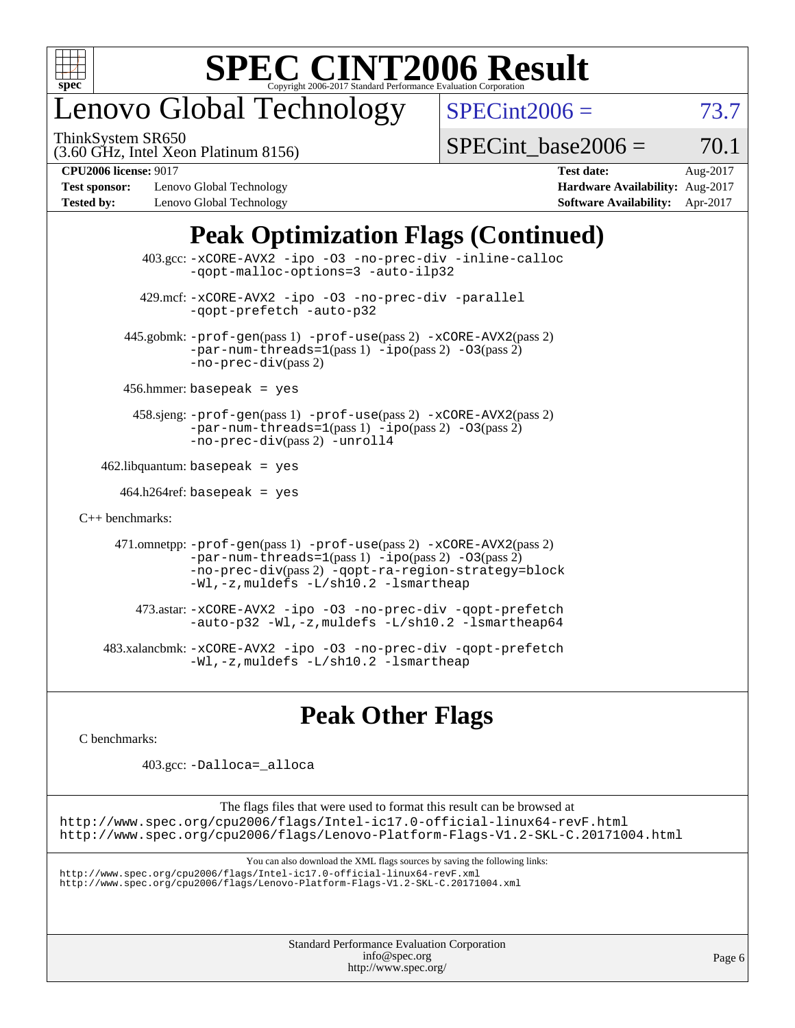

## enovo Global Technology

ThinkSystem SR650

 $SPECint2006 = 73.7$  $SPECint2006 = 73.7$ 

(3.60 GHz, Intel Xeon Platinum 8156)

SPECint base2006 =  $70.1$ 

**[Test sponsor:](http://www.spec.org/auto/cpu2006/Docs/result-fields.html#Testsponsor)** Lenovo Global Technology **[Hardware Availability:](http://www.spec.org/auto/cpu2006/Docs/result-fields.html#HardwareAvailability)** Aug-2017 **[Tested by:](http://www.spec.org/auto/cpu2006/Docs/result-fields.html#Testedby)** Lenovo Global Technology **[Software Availability:](http://www.spec.org/auto/cpu2006/Docs/result-fields.html#SoftwareAvailability)** Apr-2017

**[CPU2006 license:](http://www.spec.org/auto/cpu2006/Docs/result-fields.html#CPU2006license)** 9017 **[Test date:](http://www.spec.org/auto/cpu2006/Docs/result-fields.html#Testdate)** Aug-2017

### **[Peak Optimization Flags \(Continued\)](http://www.spec.org/auto/cpu2006/Docs/result-fields.html#PeakOptimizationFlags)**

 403.gcc: [-xCORE-AVX2](http://www.spec.org/cpu2006/results/res2017q4/cpu2006-20170918-49759.flags.html#user_peakOPTIMIZE403_gcc_f-xCORE-AVX2) [-ipo](http://www.spec.org/cpu2006/results/res2017q4/cpu2006-20170918-49759.flags.html#user_peakOPTIMIZE403_gcc_f-ipo) [-O3](http://www.spec.org/cpu2006/results/res2017q4/cpu2006-20170918-49759.flags.html#user_peakOPTIMIZE403_gcc_f-O3) [-no-prec-div](http://www.spec.org/cpu2006/results/res2017q4/cpu2006-20170918-49759.flags.html#user_peakOPTIMIZE403_gcc_f-no-prec-div) [-inline-calloc](http://www.spec.org/cpu2006/results/res2017q4/cpu2006-20170918-49759.flags.html#user_peakCOPTIMIZE403_gcc_f-inline-calloc) [-qopt-malloc-options=3](http://www.spec.org/cpu2006/results/res2017q4/cpu2006-20170918-49759.flags.html#user_peakCOPTIMIZE403_gcc_f-qopt-malloc-options_0fcb435012e78f27d57f473818e45fe4) [-auto-ilp32](http://www.spec.org/cpu2006/results/res2017q4/cpu2006-20170918-49759.flags.html#user_peakCOPTIMIZE403_gcc_f-auto-ilp32) 429.mcf: [-xCORE-AVX2](http://www.spec.org/cpu2006/results/res2017q4/cpu2006-20170918-49759.flags.html#user_peakOPTIMIZE429_mcf_f-xCORE-AVX2) [-ipo](http://www.spec.org/cpu2006/results/res2017q4/cpu2006-20170918-49759.flags.html#user_peakOPTIMIZE429_mcf_f-ipo) [-O3](http://www.spec.org/cpu2006/results/res2017q4/cpu2006-20170918-49759.flags.html#user_peakOPTIMIZE429_mcf_f-O3) [-no-prec-div](http://www.spec.org/cpu2006/results/res2017q4/cpu2006-20170918-49759.flags.html#user_peakOPTIMIZE429_mcf_f-no-prec-div) [-parallel](http://www.spec.org/cpu2006/results/res2017q4/cpu2006-20170918-49759.flags.html#user_peakCOPTIMIZE429_mcf_f-parallel) [-qopt-prefetch](http://www.spec.org/cpu2006/results/res2017q4/cpu2006-20170918-49759.flags.html#user_peakCOPTIMIZE429_mcf_f-qopt-prefetch) [-auto-p32](http://www.spec.org/cpu2006/results/res2017q4/cpu2006-20170918-49759.flags.html#user_peakCOPTIMIZE429_mcf_f-auto-p32) 445.gobmk: [-prof-gen](http://www.spec.org/cpu2006/results/res2017q4/cpu2006-20170918-49759.flags.html#user_peakPASS1_CFLAGSPASS1_LDCFLAGS445_gobmk_prof_gen_e43856698f6ca7b7e442dfd80e94a8fc)(pass 1) [-prof-use](http://www.spec.org/cpu2006/results/res2017q4/cpu2006-20170918-49759.flags.html#user_peakPASS2_CFLAGSPASS2_LDCFLAGS445_gobmk_prof_use_bccf7792157ff70d64e32fe3e1250b55)(pass 2) [-xCORE-AVX2](http://www.spec.org/cpu2006/results/res2017q4/cpu2006-20170918-49759.flags.html#user_peakPASS2_CFLAGSPASS2_LDCFLAGS445_gobmk_f-xCORE-AVX2)(pass 2)  $-par-num-threads=1(pass 1) -ipo(pass 2) -O3(pass 2)$  $-par-num-threads=1(pass 1) -ipo(pass 2) -O3(pass 2)$  $-par-num-threads=1(pass 1) -ipo(pass 2) -O3(pass 2)$  $-par-num-threads=1(pass 1) -ipo(pass 2) -O3(pass 2)$  $-par-num-threads=1(pass 1) -ipo(pass 2) -O3(pass 2)$  $-par-num-threads=1(pass 1) -ipo(pass 2) -O3(pass 2)$ [-no-prec-div](http://www.spec.org/cpu2006/results/res2017q4/cpu2006-20170918-49759.flags.html#user_peakPASS2_CFLAGSPASS2_LDCFLAGS445_gobmk_f-no-prec-div)(pass 2) 456.hmmer: basepeak = yes 458.sjeng: [-prof-gen](http://www.spec.org/cpu2006/results/res2017q4/cpu2006-20170918-49759.flags.html#user_peakPASS1_CFLAGSPASS1_LDCFLAGS458_sjeng_prof_gen_e43856698f6ca7b7e442dfd80e94a8fc)(pass 1) [-prof-use](http://www.spec.org/cpu2006/results/res2017q4/cpu2006-20170918-49759.flags.html#user_peakPASS2_CFLAGSPASS2_LDCFLAGS458_sjeng_prof_use_bccf7792157ff70d64e32fe3e1250b55)(pass 2) [-xCORE-AVX2](http://www.spec.org/cpu2006/results/res2017q4/cpu2006-20170918-49759.flags.html#user_peakPASS2_CFLAGSPASS2_LDCFLAGS458_sjeng_f-xCORE-AVX2)(pass 2) [-par-num-threads=1](http://www.spec.org/cpu2006/results/res2017q4/cpu2006-20170918-49759.flags.html#user_peakPASS1_CFLAGSPASS1_LDCFLAGS458_sjeng_par_num_threads_786a6ff141b4e9e90432e998842df6c2)(pass 1) [-ipo](http://www.spec.org/cpu2006/results/res2017q4/cpu2006-20170918-49759.flags.html#user_peakPASS2_CFLAGSPASS2_LDCFLAGS458_sjeng_f-ipo)(pass 2) [-O3](http://www.spec.org/cpu2006/results/res2017q4/cpu2006-20170918-49759.flags.html#user_peakPASS2_CFLAGSPASS2_LDCFLAGS458_sjeng_f-O3)(pass 2) [-no-prec-div](http://www.spec.org/cpu2006/results/res2017q4/cpu2006-20170918-49759.flags.html#user_peakPASS2_CFLAGSPASS2_LDCFLAGS458_sjeng_f-no-prec-div)(pass 2) [-unroll4](http://www.spec.org/cpu2006/results/res2017q4/cpu2006-20170918-49759.flags.html#user_peakCOPTIMIZE458_sjeng_f-unroll_4e5e4ed65b7fd20bdcd365bec371b81f)  $462$ .libquantum: basepeak = yes  $464.h264$ ref: basepeak = yes [C++ benchmarks:](http://www.spec.org/auto/cpu2006/Docs/result-fields.html#CXXbenchmarks) 471.omnetpp: [-prof-gen](http://www.spec.org/cpu2006/results/res2017q4/cpu2006-20170918-49759.flags.html#user_peakPASS1_CXXFLAGSPASS1_LDCXXFLAGS471_omnetpp_prof_gen_e43856698f6ca7b7e442dfd80e94a8fc)(pass 1) [-prof-use](http://www.spec.org/cpu2006/results/res2017q4/cpu2006-20170918-49759.flags.html#user_peakPASS2_CXXFLAGSPASS2_LDCXXFLAGS471_omnetpp_prof_use_bccf7792157ff70d64e32fe3e1250b55)(pass 2) [-xCORE-AVX2](http://www.spec.org/cpu2006/results/res2017q4/cpu2006-20170918-49759.flags.html#user_peakPASS2_CXXFLAGSPASS2_LDCXXFLAGS471_omnetpp_f-xCORE-AVX2)(pass 2)  $-par-num-threads=1(pass 1) -ipo(pass 2) -O3(pass 2)$  $-par-num-threads=1(pass 1) -ipo(pass 2) -O3(pass 2)$  $-par-num-threads=1(pass 1) -ipo(pass 2) -O3(pass 2)$  $-par-num-threads=1(pass 1) -ipo(pass 2) -O3(pass 2)$  $-par-num-threads=1(pass 1) -ipo(pass 2) -O3(pass 2)$  $-par-num-threads=1(pass 1) -ipo(pass 2) -O3(pass 2)$ [-no-prec-div](http://www.spec.org/cpu2006/results/res2017q4/cpu2006-20170918-49759.flags.html#user_peakPASS2_CXXFLAGSPASS2_LDCXXFLAGS471_omnetpp_f-no-prec-div)(pass 2) [-qopt-ra-region-strategy=block](http://www.spec.org/cpu2006/results/res2017q4/cpu2006-20170918-49759.flags.html#user_peakCXXOPTIMIZE471_omnetpp_f-qopt-ra-region-strategy_0f7b543d62da454b380160c0e3b28f94) [-Wl,-z,muldefs](http://www.spec.org/cpu2006/results/res2017q4/cpu2006-20170918-49759.flags.html#user_peakEXTRA_LDFLAGS471_omnetpp_link_force_multiple1_74079c344b956b9658436fd1b6dd3a8a) [-L/sh10.2 -lsmartheap](http://www.spec.org/cpu2006/results/res2017q4/cpu2006-20170918-49759.flags.html#user_peakEXTRA_LIBS471_omnetpp_SmartHeap_b831f2d313e2fffa6dfe3f00ffc1f1c0) 473.astar: [-xCORE-AVX2](http://www.spec.org/cpu2006/results/res2017q4/cpu2006-20170918-49759.flags.html#user_peakOPTIMIZE473_astar_f-xCORE-AVX2) [-ipo](http://www.spec.org/cpu2006/results/res2017q4/cpu2006-20170918-49759.flags.html#user_peakOPTIMIZE473_astar_f-ipo) [-O3](http://www.spec.org/cpu2006/results/res2017q4/cpu2006-20170918-49759.flags.html#user_peakOPTIMIZE473_astar_f-O3) [-no-prec-div](http://www.spec.org/cpu2006/results/res2017q4/cpu2006-20170918-49759.flags.html#user_peakOPTIMIZE473_astar_f-no-prec-div) [-qopt-prefetch](http://www.spec.org/cpu2006/results/res2017q4/cpu2006-20170918-49759.flags.html#user_peakCXXOPTIMIZE473_astar_f-qopt-prefetch) [-auto-p32](http://www.spec.org/cpu2006/results/res2017q4/cpu2006-20170918-49759.flags.html#user_peakCXXOPTIMIZE473_astar_f-auto-p32) [-Wl,-z,muldefs](http://www.spec.org/cpu2006/results/res2017q4/cpu2006-20170918-49759.flags.html#user_peakEXTRA_LDFLAGS473_astar_link_force_multiple1_74079c344b956b9658436fd1b6dd3a8a) [-L/sh10.2 -lsmartheap64](http://www.spec.org/cpu2006/results/res2017q4/cpu2006-20170918-49759.flags.html#user_peakEXTRA_LIBS473_astar_SmartHeap64_63911d860fc08c15fa1d5bf319b9d8d5) 483.xalancbmk: [-xCORE-AVX2](http://www.spec.org/cpu2006/results/res2017q4/cpu2006-20170918-49759.flags.html#user_peakOPTIMIZE483_xalancbmk_f-xCORE-AVX2) [-ipo](http://www.spec.org/cpu2006/results/res2017q4/cpu2006-20170918-49759.flags.html#user_peakOPTIMIZE483_xalancbmk_f-ipo) [-O3](http://www.spec.org/cpu2006/results/res2017q4/cpu2006-20170918-49759.flags.html#user_peakOPTIMIZE483_xalancbmk_f-O3) [-no-prec-div](http://www.spec.org/cpu2006/results/res2017q4/cpu2006-20170918-49759.flags.html#user_peakOPTIMIZE483_xalancbmk_f-no-prec-div) [-qopt-prefetch](http://www.spec.org/cpu2006/results/res2017q4/cpu2006-20170918-49759.flags.html#user_peakCXXOPTIMIZE483_xalancbmk_f-qopt-prefetch) [-Wl,-z,muldefs](http://www.spec.org/cpu2006/results/res2017q4/cpu2006-20170918-49759.flags.html#user_peakEXTRA_LDFLAGS483_xalancbmk_link_force_multiple1_74079c344b956b9658436fd1b6dd3a8a) [-L/sh10.2 -lsmartheap](http://www.spec.org/cpu2006/results/res2017q4/cpu2006-20170918-49759.flags.html#user_peakEXTRA_LIBS483_xalancbmk_SmartHeap_b831f2d313e2fffa6dfe3f00ffc1f1c0)

### **[Peak Other Flags](http://www.spec.org/auto/cpu2006/Docs/result-fields.html#PeakOtherFlags)**

[C benchmarks](http://www.spec.org/auto/cpu2006/Docs/result-fields.html#Cbenchmarks):

403.gcc: [-Dalloca=\\_alloca](http://www.spec.org/cpu2006/results/res2017q4/cpu2006-20170918-49759.flags.html#b403.gcc_peakEXTRA_CFLAGS_Dalloca_be3056838c12de2578596ca5467af7f3)

The flags files that were used to format this result can be browsed at <http://www.spec.org/cpu2006/flags/Intel-ic17.0-official-linux64-revF.html> <http://www.spec.org/cpu2006/flags/Lenovo-Platform-Flags-V1.2-SKL-C.20171004.html>

You can also download the XML flags sources by saving the following links:

<http://www.spec.org/cpu2006/flags/Intel-ic17.0-official-linux64-revF.xml> <http://www.spec.org/cpu2006/flags/Lenovo-Platform-Flags-V1.2-SKL-C.20171004.xml>